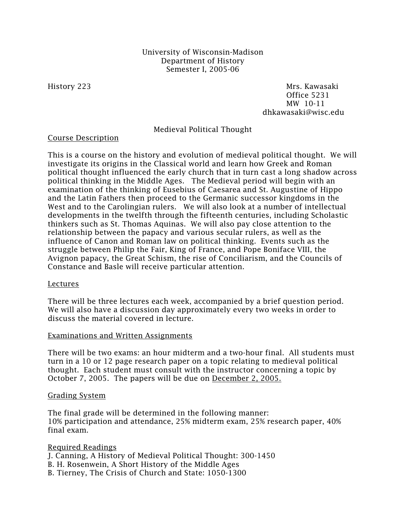# University of Wisconsin-Madison Department of History Semester I, 2005-06

History 223 Mrs. Kawasaki Office 5231 MW 10-11 dhkawasaki@wisc.edu

Medieval Political Thought

### Course Description

This is a course on the history and evolution of medieval political thought. We will investigate its origins in the Classical world and learn how Greek and Roman political thought influenced the early church that in turn cast a long shadow across political thinking in the Middle Ages. The Medieval period will begin with an examination of the thinking of Eusebius of Caesarea and St. Augustine of Hippo and the Latin Fathers then proceed to the Germanic successor kingdoms in the West and to the Carolingian rulers. We will also look at a number of intellectual developments in the twelfth through the fifteenth centuries, including Scholastic thinkers such as St. Thomas Aquinas. We will also pay close attention to the relationship between the papacy and various secular rulers, as well as the influence of Canon and Roman law on political thinking. Events such as the struggle between Philip the Fair, King of France, and Pope Boniface VIII, the Avignon papacy, the Great Schism, the rise of Conciliarism, and the Councils of Constance and Basle will receive particular attention.

# Lectures

There will be three lectures each week, accompanied by a brief question period. We will also have a discussion day approximately every two weeks in order to discuss the material covered in lecture.

### Examinations and Written Assignments

There will be two exams: an hour midterm and a two-hour final. All students must turn in a 10 or 12 page research paper on a topic relating to medieval political thought. Each student must consult with the instructor concerning a topic by October 7, 2005. The papers will be due on December 2, 2005.

#### Grading System

The final grade will be determined in the following manner: 10% participation and attendance, 25% midterm exam, 25% research paper, 40% final exam.

Required Readings J. Canning, A History of Medieval Political Thought: 300-1450 B. H. Rosenwein, A Short History of the Middle Ages B. Tierney, The Crisis of Church and State: 1050-1300